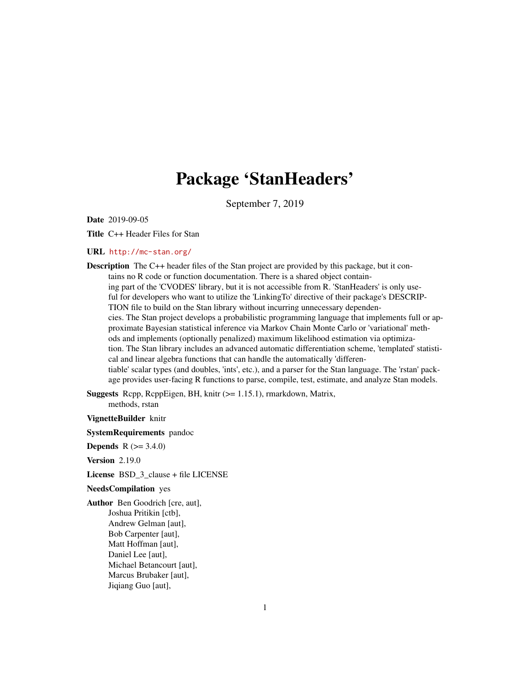## Package 'StanHeaders'

September 7, 2019

Date 2019-09-05

Title C++ Header Files for Stan

## URL <http://mc-stan.org/>

Description The C++ header files of the Stan project are provided by this package, but it contains no R code or function documentation. There is a shared object containing part of the 'CVODES' library, but it is not accessible from R. 'StanHeaders' is only useful for developers who want to utilize the 'LinkingTo' directive of their package's DESCRIP-TION file to build on the Stan library without incurring unnecessary dependencies. The Stan project develops a probabilistic programming language that implements full or approximate Bayesian statistical inference via Markov Chain Monte Carlo or 'variational' methods and implements (optionally penalized) maximum likelihood estimation via optimization. The Stan library includes an advanced automatic differentiation scheme, 'templated' statistical and linear algebra functions that can handle the automatically 'differentiable' scalar types (and doubles, 'ints', etc.), and a parser for the Stan language. The 'rstan' package provides user-facing R functions to parse, compile, test, estimate, and analyze Stan models.

Suggests Rcpp, RcppEigen, BH, knitr (>= 1.15.1), rmarkdown, Matrix, methods, rstan

VignetteBuilder knitr

SystemRequirements pandoc

**Depends** R  $(>= 3.4.0)$ 

Version 2.19.0

License BSD\_3\_clause + file LICENSE

## NeedsCompilation yes

Author Ben Goodrich [cre, aut], Joshua Pritikin [ctb], Andrew Gelman [aut], Bob Carpenter [aut], Matt Hoffman [aut], Daniel Lee [aut], Michael Betancourt [aut], Marcus Brubaker [aut], Jiqiang Guo [aut],